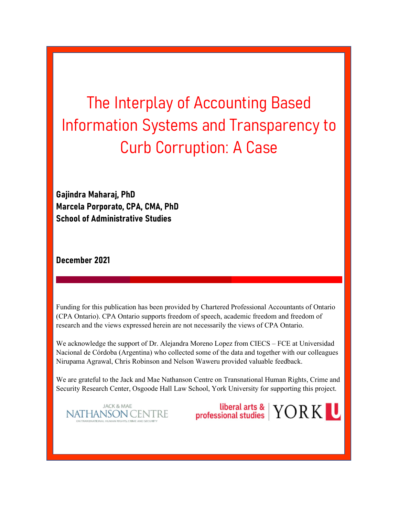The Interplay of Accounting Based Information Systems and Transparency to Curb Corruption: A Case

Gajindra Maharaj, PhD Marcela Porporato, CPA, CMA, PhD School of Administrative Studies

December 2021

Funding for this publication has been provided by Chartered Professional Accountants of Ontario (CPA Ontario). CPA Ontario supports freedom of speech, academic freedom and freedom of research and the views expressed herein are not necessarily the views of CPA Ontario.

We acknowledge the support of Dr. Alejandra Moreno Lopez from CIECS – FCE at Universidad Nacional de Córdoba (Argentina) who collected some of the data and together with our colleagues Nirupama Agrawal, Chris Robinson and Nelson Waweru provided valuable feedback.

We are grateful to the Jack and Mae Nathanson Centre on Transnational Human Rights, Crime and Security Research Center, Osgoode Hall Law School, York University for supporting this project.

**JACK & MAE NATHANSON CENTRE**  liberal arts & YORK U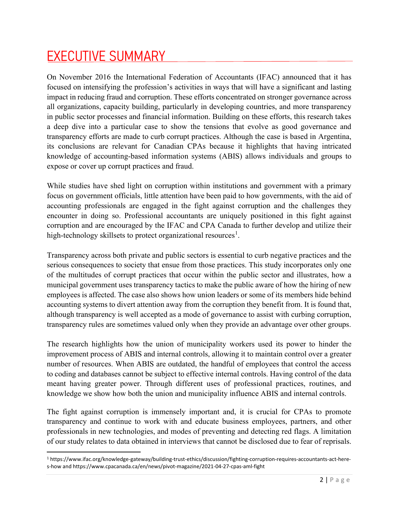#### EXECUTIVE SUMMARY

On November 2016 the International Federation of Accountants (IFAC) announced that it has focused on intensifying the profession's activities in ways that will have a significant and lasting impact in reducing fraud and corruption. These efforts concentrated on stronger governance across all organizations, capacity building, particularly in developing countries, and more transparency in public sector processes and financial information. Building on these efforts, this research takes a deep dive into a particular case to show the tensions that evolve as good governance and transparency efforts are made to curb corrupt practices. Although the case is based in Argentina, its conclusions are relevant for Canadian CPAs because it highlights that having intricated knowledge of accounting-based information systems (ABIS) allows individuals and groups to expose or cover up corrupt practices and fraud.

While studies have shed light on corruption within institutions and government with a primary focus on government officials, little attention have been paid to how governments, with the aid of accounting professionals are engaged in the fight against corruption and the challenges they encounter in doing so. Professional accountants are uniquely positioned in this fight against corruption and are encouraged by the IFAC and CPA Canada to further develop and utilize their high-technology skillsets to protect organizational resources<sup>1</sup>.

Transparency across both private and public sectors is essential to curb negative practices and the serious consequences to society that ensue from those practices. This study incorporates only one of the multitudes of corrupt practices that occur within the public sector and illustrates, how a municipal government uses transparency tactics to make the public aware of how the hiring of new employees is affected. The case also shows how union leaders or some of its members hide behind accounting systems to divert attention away from the corruption they benefit from. It is found that, although transparency is well accepted as a mode of governance to assist with curbing corruption, transparency rules are sometimes valued only when they provide an advantage over other groups.

The research highlights how the union of municipality workers used its power to hinder the improvement process of ABIS and internal controls, allowing it to maintain control over a greater number of resources. When ABIS are outdated, the handful of employees that control the access to coding and databases cannot be subject to effective internal controls. Having control of the data meant having greater power. Through different uses of professional practices, routines, and knowledge we show how both the union and municipality influence ABIS and internal controls.

The fight against corruption is immensely important and, it is crucial for CPAs to promote transparency and continue to work with and educate business employees, partners, and other professionals in new technologies, and modes of preventing and detecting red flags. A limitation of our study relates to data obtained in interviews that cannot be disclosed due to fear of reprisals.

<sup>1</sup> https://www.ifac.org/knowledge-gateway/building-trust-ethics/discussion/fighting-corruption-requires-accountants-act-heres-how and https://www.cpacanada.ca/en/news/pivot-magazine/2021-04-27-cpas-aml-fight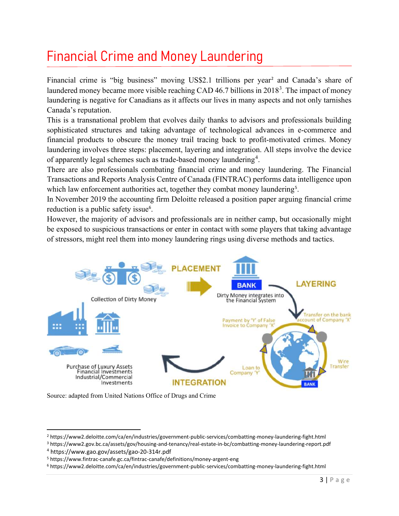## Financial Crime and Money Laundering

Financial crime is "big business" moving US\$2.1 trillions per year<sup>2</sup> and Canada's share of laundered money became more visible reaching CAD 46.7 billions in  $2018<sup>3</sup>$ . The impact of money laundering is negative for Canadians as it affects our lives in many aspects and not only tarnishes Canada's reputation.

This is a transnational problem that evolves daily thanks to advisors and professionals building sophisticated structures and taking advantage of technological advances in e-commerce and financial products to obscure the money trail tracing back to profit-motivated crimes. Money laundering involves three steps: placement, layering and integration. All steps involve the device of apparently legal schemes such as trade-based money laundering<sup>4</sup>.

There are also professionals combating financial crime and money laundering. The Financial Transactions and Reports Analysis Centre of Canada (FINTRAC) performs data intelligence upon which law enforcement authorities act, together they combat money laundering<sup>5</sup>.

In November 2019 the accounting firm Deloitte released a position paper arguing financial crime reduction is a public safety issue<sup>6</sup>.

However, the majority of advisors and professionals are in neither camp, but occasionally might be exposed to suspicious transactions or enter in contact with some players that taking advantage of stressors, might reel them into money laundering rings using diverse methods and tactics.



Source: adapted from United Nations Office of Drugs and Crime

<sup>2</sup> https://www2.deloitte.com/ca/en/industries/government-public-services/combatting-money-laundering-fight.html

<sup>3</sup> https://www2.gov.bc.ca/assets/gov/housing-and-tenancy/real-estate-in-bc/combatting-money-laundering-report.pdf

<sup>4</sup> https://www.gao.gov/assets/gao-20-314r.pdf

<sup>5</sup> https://www.fintrac-canafe.gc.ca/fintrac-canafe/definitions/money-argent-eng

<sup>6</sup> https://www2.deloitte.com/ca/en/industries/government-public-services/combatting-money-laundering-fight.html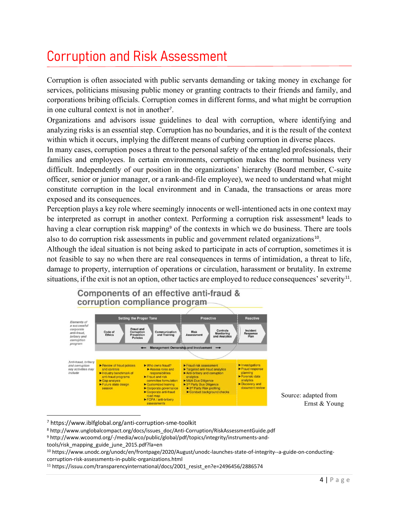### Corruption and Risk Assessment

Corruption is often associated with public servants demanding or taking money in exchange for services, politicians misusing public money or granting contracts to their friends and family, and corporations bribing officials. Corruption comes in different forms, and what might be corruption in one cultural context is not in another<sup>7</sup>.

Organizations and advisors issue guidelines to deal with corruption, where identifying and analyzing risks is an essential step. Corruption has no boundaries, and it is the result of the context within which it occurs, implying the different means of curbing corruption in diverse places.

In many cases, corruption poses a threat to the personal safety of the entangled professionals, their families and employees. In certain environments, corruption makes the normal business very difficult. Independently of our position in the organizations' hierarchy (Board member, C-suite officer, senior or junior manager, or a rank-and-file employee), we need to understand what might constitute corruption in the local environment and in Canada, the transactions or areas more exposed and its consequences.

Perception plays a key role where seemingly innocents or well-intentioned acts in one context may be interpreted as corrupt in another context. Performing a corruption risk assessment<sup>8</sup> leads to having a clear corruption risk mapping<sup>9</sup> of the contexts in which we do business. There are tools also to do corruption risk assessments in public and government related organizations<sup>10</sup>.

Although the ideal situation is not being asked to participate in acts of corruption, sometimes it is not feasible to say no when there are real consequences in terms of intimidation, a threat to life, damage to property, interruption of operations or circulation, harassment or brutality. In extreme situations, if the exit is not an option, other tactics are employed to reduce consequences' severity $^{11}$ .



<sup>7</sup> https://www.iblfglobal.org/anti-corruption-sme-toolkit

<sup>8</sup> http://www.unglobalcompact.org/docs/issues\_doc/Anti-Corruption/RiskAssessmentGuide.pdf

<sup>9</sup> http://www.wcoomd.org/-/media/wco/public/global/pdf/topics/integrity/instruments-and-

tools/risk\_mapping\_guide\_june\_2015.pdf?la=en

<sup>10</sup> https://www.unodc.org/unodc/en/frontpage/2020/August/unodc-launches-state-of-integrity--a-guide-on-conductingcorruption-risk-assessments-in-public-organizations.html

<sup>11</sup> https://issuu.com/transparencyinternational/docs/2001\_resist\_en?e=2496456/2886574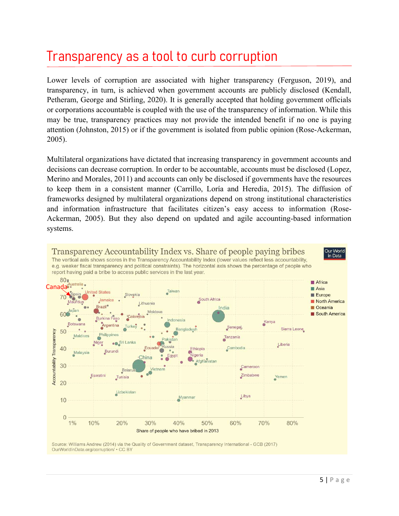#### Transparency as a tool to curb corruption

Lower levels of corruption are associated with higher transparency (Ferguson, 2019), and transparency, in turn, is achieved when government accounts are publicly disclosed (Kendall, Petheram, George and Stirling, 2020). It is generally accepted that holding government officials or corporations accountable is coupled with the use of the transparency of information. While this may be true, transparency practices may not provide the intended benefit if no one is paying attention (Johnston, 2015) or if the government is isolated from public opinion (Rose-Ackerman, 2005).

Multilateral organizations have dictated that increasing transparency in government accounts and decisions can decrease corruption. In order to be accountable, accounts must be disclosed (Lopez, Merino and Morales, 2011) and accounts can only be disclosed if governments have the resources to keep them in a consistent manner (Carrillo, Loría and Heredia, 2015). The diffusion of frameworks designed by multilateral organizations depend on strong institutional characteristics and information infrastructure that facilitates citizen's easy access to information (Rose-Ackerman, 2005). But they also depend on updated and agile accounting-based information systems.



OurWorldInData.org/corruption/ . CC BY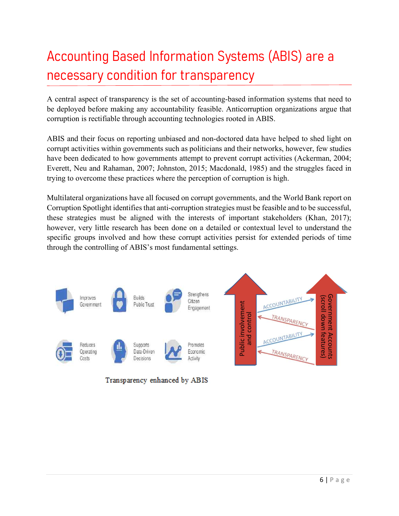# Accounting Based Information Systems (ABIS) are a necessary condition for transparency

A central aspect of transparency is the set of accounting-based information systems that need to be deployed before making any accountability feasible. Anticorruption organizations argue that corruption is rectifiable through accounting technologies rooted in ABIS.

ABIS and their focus on reporting unbiased and non-doctored data have helped to shed light on corrupt activities within governments such as politicians and their networks, however, few studies have been dedicated to how governments attempt to prevent corrupt activities (Ackerman, 2004; Everett, Neu and Rahaman, 2007; Johnston, 2015; Macdonald, 1985) and the struggles faced in trying to overcome these practices where the perception of corruption is high.

Multilateral organizations have all focused on corrupt governments, and the World Bank report on Corruption Spotlight identifies that anti-corruption strategies must be feasible and to be successful, these strategies must be aligned with the interests of important stakeholders (Khan, 2017); however, very little research has been done on a detailed or contextual level to understand the specific groups involved and how these corrupt activities persist for extended periods of time through the controlling of ABIS's most fundamental settings.



Transparency enhanced by ABIS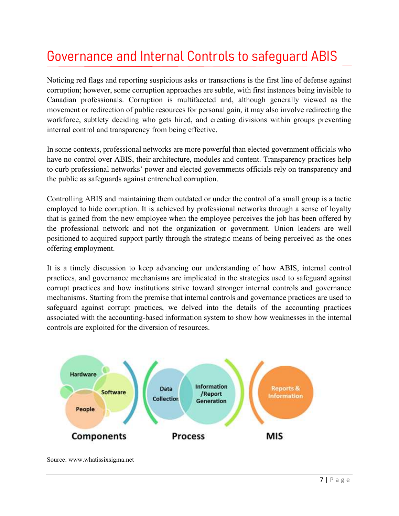### Governance and Internal Controls to safeguard ABIS

Noticing red flags and reporting suspicious asks or transactions is the first line of defense against corruption; however, some corruption approaches are subtle, with first instances being invisible to Canadian professionals. Corruption is multifaceted and, although generally viewed as the movement or redirection of public resources for personal gain, it may also involve redirecting the workforce, subtlety deciding who gets hired, and creating divisions within groups preventing internal control and transparency from being effective.

In some contexts, professional networks are more powerful than elected government officials who have no control over ABIS, their architecture, modules and content. Transparency practices help to curb professional networks' power and elected governments officials rely on transparency and the public as safeguards against entrenched corruption.

Controlling ABIS and maintaining them outdated or under the control of a small group is a tactic employed to hide corruption. It is achieved by professional networks through a sense of loyalty that is gained from the new employee when the employee perceives the job has been offered by the professional network and not the organization or government. Union leaders are well positioned to acquired support partly through the strategic means of being perceived as the ones offering employment.

It is a timely discussion to keep advancing our understanding of how ABIS, internal control practices, and governance mechanisms are implicated in the strategies used to safeguard against corrupt practices and how institutions strive toward stronger internal controls and governance mechanisms. Starting from the premise that internal controls and governance practices are used to safeguard against corrupt practices, we delved into the details of the accounting practices associated with the accounting-based information system to show how weaknesses in the internal controls are exploited for the diversion of resources.



Source: www.whatissixsigma.net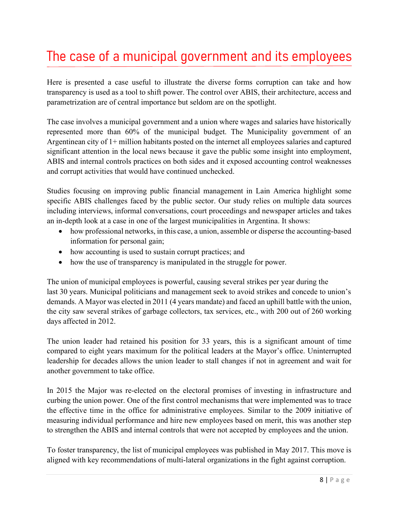### The case of a municipal government and its employees

Here is presented a case useful to illustrate the diverse forms corruption can take and how transparency is used as a tool to shift power. The control over ABIS, their architecture, access and parametrization are of central importance but seldom are on the spotlight.

The case involves a municipal government and a union where wages and salaries have historically represented more than 60% of the municipal budget. The Municipality government of an Argentinean city of 1+ million habitants posted on the internet all employees salaries and captured significant attention in the local news because it gave the public some insight into employment, ABIS and internal controls practices on both sides and it exposed accounting control weaknesses and corrupt activities that would have continued unchecked.

Studies focusing on improving public financial management in Lain America highlight some specific ABIS challenges faced by the public sector. Our study relies on multiple data sources including interviews, informal conversations, court proceedings and newspaper articles and takes an in-depth look at a case in one of the largest municipalities in Argentina. It shows:

- how professional networks, in this case, a union, assemble or disperse the accounting-based information for personal gain;
- how accounting is used to sustain corrupt practices; and
- how the use of transparency is manipulated in the struggle for power.

The union of municipal employees is powerful, causing several strikes per year during the last 30 years. Municipal politicians and management seek to avoid strikes and concede to union's demands. A Mayor was elected in 2011 (4 years mandate) and faced an uphill battle with the union, the city saw several strikes of garbage collectors, tax services, etc., with 200 out of 260 working days affected in 2012.

The union leader had retained his position for 33 years, this is a significant amount of time compared to eight years maximum for the political leaders at the Mayor's office. Uninterrupted leadership for decades allows the union leader to stall changes if not in agreement and wait for another government to take office.

In 2015 the Major was re-elected on the electoral promises of investing in infrastructure and curbing the union power. One of the first control mechanisms that were implemented was to trace the effective time in the office for administrative employees. Similar to the 2009 initiative of measuring individual performance and hire new employees based on merit, this was another step to strengthen the ABIS and internal controls that were not accepted by employees and the union.

To foster transparency, the list of municipal employees was published in May 2017. This move is aligned with key recommendations of multi-lateral organizations in the fight against corruption.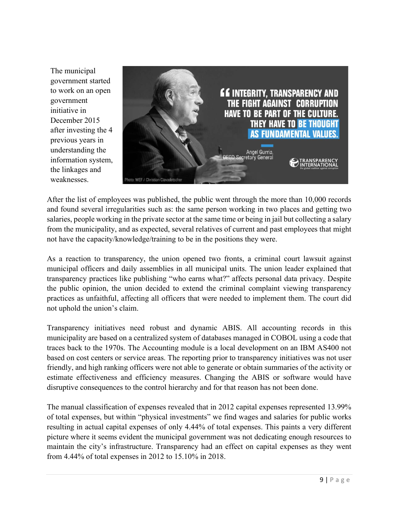The municipal government started to work on an open government initiative in December 2015 after investing the 4 previous years in understanding the information system, the linkages and weaknesses.



After the list of employees was published, the public went through the more than 10,000 records and found several irregularities such as: the same person working in two places and getting two salaries, people working in the private sector at the same time or being in jail but collecting a salary from the municipality, and as expected, several relatives of current and past employees that might not have the capacity/knowledge/training to be in the positions they were.

As a reaction to transparency, the union opened two fronts, a criminal court lawsuit against municipal officers and daily assemblies in all municipal units. The union leader explained that transparency practices like publishing "who earns what?" affects personal data privacy. Despite the public opinion, the union decided to extend the criminal complaint viewing transparency practices as unfaithful, affecting all officers that were needed to implement them. The court did not uphold the union's claim.

Transparency initiatives need robust and dynamic ABIS. All accounting records in this municipality are based on a centralized system of databases managed in COBOL using a code that traces back to the 1970s. The Accounting module is a local development on an IBM AS400 not based on cost centers or service areas. The reporting prior to transparency initiatives was not user friendly, and high ranking officers were not able to generate or obtain summaries of the activity or estimate effectiveness and efficiency measures. Changing the ABIS or software would have disruptive consequences to the control hierarchy and for that reason has not been done.

The manual classification of expenses revealed that in 2012 capital expenses represented 13.99% of total expenses, but within "physical investments" we find wages and salaries for public works resulting in actual capital expenses of only 4.44% of total expenses. This paints a very different picture where it seems evident the municipal government was not dedicating enough resources to maintain the city's infrastructure. Transparency had an effect on capital expenses as they went from 4.44% of total expenses in 2012 to 15.10% in 2018.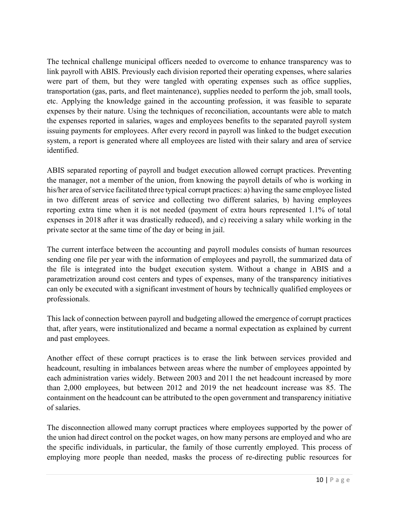The technical challenge municipal officers needed to overcome to enhance transparency was to link payroll with ABIS. Previously each division reported their operating expenses, where salaries were part of them, but they were tangled with operating expenses such as office supplies, transportation (gas, parts, and fleet maintenance), supplies needed to perform the job, small tools, etc. Applying the knowledge gained in the accounting profession, it was feasible to separate expenses by their nature. Using the techniques of reconciliation, accountants were able to match the expenses reported in salaries, wages and employees benefits to the separated payroll system issuing payments for employees. After every record in payroll was linked to the budget execution system, a report is generated where all employees are listed with their salary and area of service identified.

ABIS separated reporting of payroll and budget execution allowed corrupt practices. Preventing the manager, not a member of the union, from knowing the payroll details of who is working in his/her area of service facilitated three typical corrupt practices: a) having the same employee listed in two different areas of service and collecting two different salaries, b) having employees reporting extra time when it is not needed (payment of extra hours represented 1.1% of total expenses in 2018 after it was drastically reduced), and c) receiving a salary while working in the private sector at the same time of the day or being in jail.

The current interface between the accounting and payroll modules consists of human resources sending one file per year with the information of employees and payroll, the summarized data of the file is integrated into the budget execution system. Without a change in ABIS and a parametrization around cost centers and types of expenses, many of the transparency initiatives can only be executed with a significant investment of hours by technically qualified employees or professionals.

This lack of connection between payroll and budgeting allowed the emergence of corrupt practices that, after years, were institutionalized and became a normal expectation as explained by current and past employees.

Another effect of these corrupt practices is to erase the link between services provided and headcount, resulting in imbalances between areas where the number of employees appointed by each administration varies widely. Between 2003 and 2011 the net headcount increased by more than 2,000 employees, but between 2012 and 2019 the net headcount increase was 85. The containment on the headcount can be attributed to the open government and transparency initiative of salaries.

The disconnection allowed many corrupt practices where employees supported by the power of the union had direct control on the pocket wages, on how many persons are employed and who are the specific individuals, in particular, the family of those currently employed. This process of employing more people than needed, masks the process of re-directing public resources for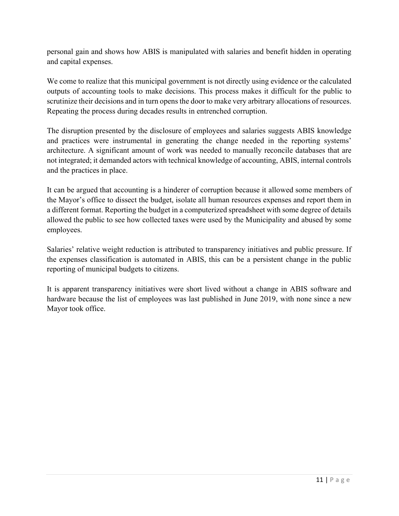personal gain and shows how ABIS is manipulated with salaries and benefit hidden in operating and capital expenses.

We come to realize that this municipal government is not directly using evidence or the calculated outputs of accounting tools to make decisions. This process makes it difficult for the public to scrutinize their decisions and in turn opens the door to make very arbitrary allocations of resources. Repeating the process during decades results in entrenched corruption.

The disruption presented by the disclosure of employees and salaries suggests ABIS knowledge and practices were instrumental in generating the change needed in the reporting systems' architecture. A significant amount of work was needed to manually reconcile databases that are not integrated; it demanded actors with technical knowledge of accounting, ABIS, internal controls and the practices in place.

It can be argued that accounting is a hinderer of corruption because it allowed some members of the Mayor's office to dissect the budget, isolate all human resources expenses and report them in a different format. Reporting the budget in a computerized spreadsheet with some degree of details allowed the public to see how collected taxes were used by the Municipality and abused by some employees.

Salaries' relative weight reduction is attributed to transparency initiatives and public pressure. If the expenses classification is automated in ABIS, this can be a persistent change in the public reporting of municipal budgets to citizens.

It is apparent transparency initiatives were short lived without a change in ABIS software and hardware because the list of employees was last published in June 2019, with none since a new Mayor took office.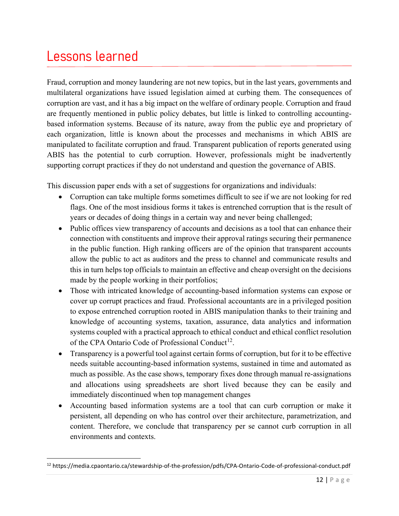#### Lessons learned

Fraud, corruption and money laundering are not new topics, but in the last years, governments and multilateral organizations have issued legislation aimed at curbing them. The consequences of corruption are vast, and it has a big impact on the welfare of ordinary people. Corruption and fraud are frequently mentioned in public policy debates, but little is linked to controlling accountingbased information systems. Because of its nature, away from the public eye and proprietary of each organization, little is known about the processes and mechanisms in which ABIS are manipulated to facilitate corruption and fraud. Transparent publication of reports generated using ABIS has the potential to curb corruption. However, professionals might be inadvertently supporting corrupt practices if they do not understand and question the governance of ABIS.

This discussion paper ends with a set of suggestions for organizations and individuals:

- Corruption can take multiple forms sometimes difficult to see if we are not looking for red flags. One of the most insidious forms it takes is entrenched corruption that is the result of years or decades of doing things in a certain way and never being challenged;
- Public offices view transparency of accounts and decisions as a tool that can enhance their connection with constituents and improve their approval ratings securing their permanence in the public function. High ranking officers are of the opinion that transparent accounts allow the public to act as auditors and the press to channel and communicate results and this in turn helps top officials to maintain an effective and cheap oversight on the decisions made by the people working in their portfolios;
- Those with intricated knowledge of accounting-based information systems can expose or cover up corrupt practices and fraud. Professional accountants are in a privileged position to expose entrenched corruption rooted in ABIS manipulation thanks to their training and knowledge of accounting systems, taxation, assurance, data analytics and information systems coupled with a practical approach to ethical conduct and ethical conflict resolution of the CPA Ontario Code of Professional Conduct<sup>12</sup>.
- Transparency is a powerful tool against certain forms of corruption, but for it to be effective needs suitable accounting-based information systems, sustained in time and automated as much as possible. As the case shows, temporary fixes done through manual re-assignations and allocations using spreadsheets are short lived because they can be easily and immediately discontinued when top management changes
- Accounting based information systems are a tool that can curb corruption or make it persistent, all depending on who has control over their architecture, parametrization, and content. Therefore, we conclude that transparency per se cannot curb corruption in all environments and contexts.

<sup>12</sup> https://media.cpaontario.ca/stewardship-of-the-profession/pdfs/CPA-Ontario-Code-of-professional-conduct.pdf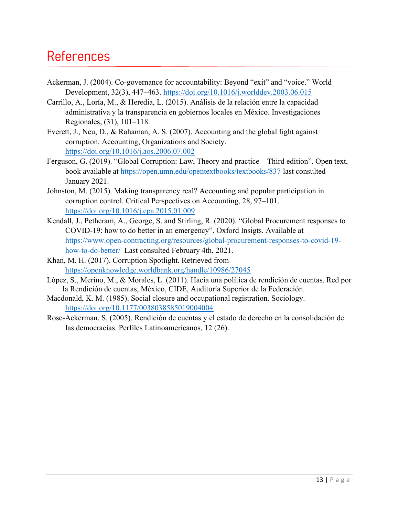#### References

- Ackerman, J. (2004). Co-governance for accountability: Beyond "exit" and "voice." World Development, 32(3), 447–463. https://doi.org/10.1016/j.worlddev.2003.06.015
- Carrillo, A., Loría, M., & Heredia, L. (2015). Análisis de la relación entre la capacidad administrativa y la transparencia en gobiernos locales en México. Investigaciones Regionales, (31), 101–118.
- Everett, J., Neu, D., & Rahaman, A. S. (2007). Accounting and the global fight against corruption. Accounting, Organizations and Society. https://doi.org/10.1016/j.aos.2006.07.002
- Ferguson, G. (2019). "Global Corruption: Law, Theory and practice Third edition". Open text, book available at https://open.umn.edu/opentextbooks/textbooks/837 last consulted January 2021.
- Johnston, M. (2015). Making transparency real? Accounting and popular participation in corruption control. Critical Perspectives on Accounting, 28, 97–101. https://doi.org/10.1016/j.cpa.2015.01.009
- Kendall, J., Petheram, A., George, S. and Stirling, R. (2020). "Global Procurement responses to COVID-19: how to do better in an emergency". Oxford Insigts. Available at https://www.open-contracting.org/resources/global-procurement-responses-to-covid-19 how-to-do-better/ Last consulted February 4th, 2021.
- Khan, M. H. (2017). Corruption Spotlight. Retrieved from https://openknowledge.worldbank.org/handle/10986/27045
- López, S., Merino, M., & Morales, L. (2011). Hacia una política de rendición de cuentas. Red por la Rendición de cuentas, México, CIDE, Auditoría Superior de la Federación.
- Macdonald, K. M. (1985). Social closure and occupational registration. Sociology. https://doi.org/10.1177/0038038585019004004
- Rose-Ackerman, S. (2005). Rendición de cuentas y el estado de derecho en la consolidación de las democracias. Perfiles Latinoamericanos, 12 (26).